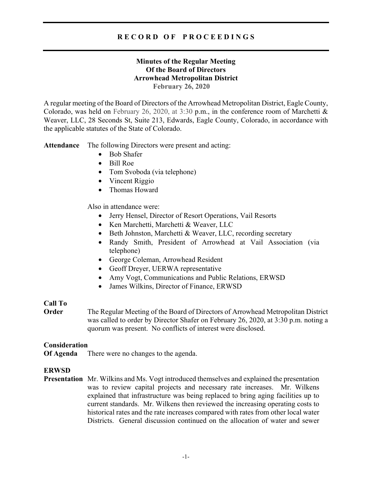## **Minutes of the Regular Meeting Of the Board of Directors Arrowhead Metropolitan District February 26, 2020**

A regular meeting of the Board of Directors of the Arrowhead Metropolitan District, Eagle County, Colorado, was held on February 26, 2020, at 3:30 p.m., in the conference room of Marchetti & Weaver, LLC, 28 Seconds St, Suite 213, Edwards, Eagle County, Colorado, in accordance with the applicable statutes of the State of Colorado.

**Attendance** The following Directors were present and acting:

- Bob Shafer
- Bill Roe
- Tom Svoboda (via telephone)
- Vincent Riggio
- Thomas Howard

Also in attendance were:

- Jerry Hensel, Director of Resort Operations, Vail Resorts
- Ken Marchetti, Marchetti & Weaver, LLC
- Beth Johnston, Marchetti & Weaver, LLC, recording secretary
- Randy Smith, President of Arrowhead at Vail Association (via telephone)
- George Coleman, Arrowhead Resident
- Geoff Dreyer, UERWA representative
- Amy Vogt, Communications and Public Relations, ERWSD
- James Wilkins, Director of Finance, ERWSD

## **Call To**

**Order** The Regular Meeting of the Board of Directors of Arrowhead Metropolitan District was called to order by Director Shafer on February 26, 2020, at 3:30 p.m. noting a quorum was present. No conflicts of interest were disclosed.

## **Consideration**

**Of Agenda** There were no changes to the agenda.

## **ERWSD**

**Presentation** Mr. Wilkins and Ms. Vogt introduced themselves and explained the presentation was to review capital projects and necessary rate increases. Mr. Wilkens explained that infrastructure was being replaced to bring aging facilities up to current standards. Mr. Wilkens then reviewed the increasing operating costs to historical rates and the rate increases compared with rates from other local water Districts. General discussion continued on the allocation of water and sewer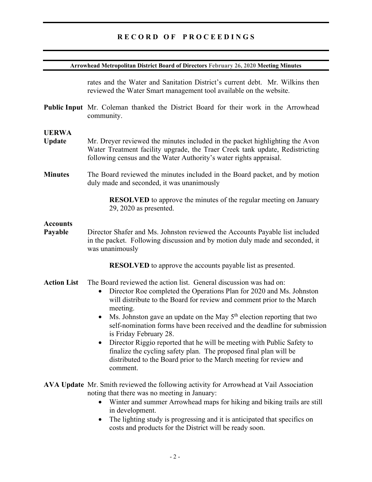| Arrowhead Metropolitan District Board of Directors February 26, 2020 Meeting Minutes |                                                                                                                                                                                                                                                                                                                                                                                                                                                                                                                        |  |
|--------------------------------------------------------------------------------------|------------------------------------------------------------------------------------------------------------------------------------------------------------------------------------------------------------------------------------------------------------------------------------------------------------------------------------------------------------------------------------------------------------------------------------------------------------------------------------------------------------------------|--|
|                                                                                      | rates and the Water and Sanitation District's current debt. Mr. Wilkins then<br>reviewed the Water Smart management tool available on the website.                                                                                                                                                                                                                                                                                                                                                                     |  |
|                                                                                      | Public Input Mr. Coleman thanked the District Board for their work in the Arrowhead<br>community.                                                                                                                                                                                                                                                                                                                                                                                                                      |  |
| <b>UERWA</b><br><b>Update</b>                                                        | Mr. Dreyer reviewed the minutes included in the packet highlighting the Avon<br>Water Treatment facility upgrade, the Traer Creek tank update, Redistricting<br>following census and the Water Authority's water rights appraisal.                                                                                                                                                                                                                                                                                     |  |
| <b>Minutes</b>                                                                       | The Board reviewed the minutes included in the Board packet, and by motion<br>duly made and seconded, it was unanimously                                                                                                                                                                                                                                                                                                                                                                                               |  |
|                                                                                      | <b>RESOLVED</b> to approve the minutes of the regular meeting on January<br>29, 2020 as presented.                                                                                                                                                                                                                                                                                                                                                                                                                     |  |
| <b>Accounts</b><br>Payable                                                           | Director Shafer and Ms. Johnston reviewed the Accounts Payable list included<br>in the packet. Following discussion and by motion duly made and seconded, it<br>was unanimously                                                                                                                                                                                                                                                                                                                                        |  |
|                                                                                      | <b>RESOLVED</b> to approve the accounts payable list as presented.                                                                                                                                                                                                                                                                                                                                                                                                                                                     |  |
| <b>Action List</b>                                                                   | The Board reviewed the action list. General discussion was had on:<br>Director Roe completed the Operations Plan for 2020 and Ms. Johnston<br>$\bullet$<br>will distribute to the Board for review and comment prior to the March<br>meeting.<br>Ms. Johnston gave an update on the May $5th$ election reporting that two<br>$\bullet$<br>self-nomination forms have been received and the deadline for submission<br>is Friday February 28.<br>Director Riggio reported that he will be meeting with Public Safety to |  |
|                                                                                      | finalize the cycling safety plan. The proposed final plan will be<br>distributed to the Board prior to the March meeting for review and<br>comment.                                                                                                                                                                                                                                                                                                                                                                    |  |
|                                                                                      | AVA Update Mr. Smith reviewed the following activity for Arrowhead at Vail Association<br>noting that there was no meeting in January:<br>Winter and summer Arrowhead maps for hiking and biking trails are still<br>in development.                                                                                                                                                                                                                                                                                   |  |

• The lighting study is progressing and it is anticipated that specifics on costs and products for the District will be ready soon.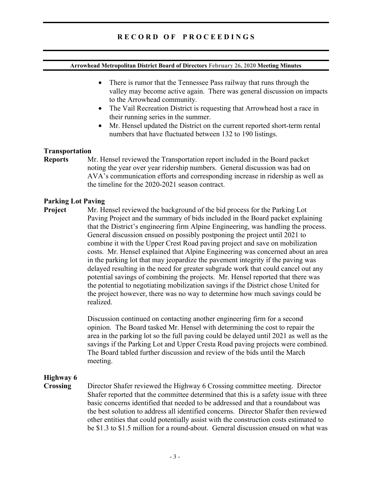#### **Arrowhead Metropolitan District Board of Directors February 26, 2020 Meeting Minutes**

- There is rumor that the Tennessee Pass railway that runs through the valley may become active again. There was general discussion on impacts to the Arrowhead community.
- The Vail Recreation District is requesting that Arrowhead host a race in their running series in the summer.
- Mr. Hensel updated the District on the current reported short-term rental numbers that have fluctuated between 132 to 190 listings.

## **Transportation**

**Reports** Mr. Hensel reviewed the Transportation report included in the Board packet noting the year over year ridership numbers. General discussion was had on AVA's communication efforts and corresponding increase in ridership as well as the timeline for the 2020-2021 season contract.

## **Parking Lot Paving**

**Project** Mr. Hensel reviewed the background of the bid process for the Parking Lot Paving Project and the summary of bids included in the Board packet explaining that the District's engineering firm Alpine Engineering, was handling the process. General discussion ensued on possibly postponing the project until 2021 to combine it with the Upper Crest Road paving project and save on mobilization costs. Mr. Hensel explained that Alpine Engineering was concerned about an area in the parking lot that may jeopardize the pavement integrity if the paving was delayed resulting in the need for greater subgrade work that could cancel out any potential savings of combining the projects. Mr. Hensel reported that there was the potential to negotiating mobilization savings if the District chose United for the project however, there was no way to determine how much savings could be realized.

> Discussion continued on contacting another engineering firm for a second opinion. The Board tasked Mr. Hensel with determining the cost to repair the area in the parking lot so the full paving could be delayed until 2021 as well as the savings if the Parking Lot and Upper Cresta Road paving projects were combined. The Board tabled further discussion and review of the bids until the March meeting.

# **Highway 6**

**Crossing** Director Shafer reviewed the Highway 6 Crossing committee meeting. Director Shafer reported that the committee determined that this is a safety issue with three basic concerns identified that needed to be addressed and that a roundabout was the best solution to address all identified concerns. Director Shafer then reviewed other entities that could potentially assist with the construction costs estimated to be \$1.3 to \$1.5 million for a round-about. General discussion ensued on what was